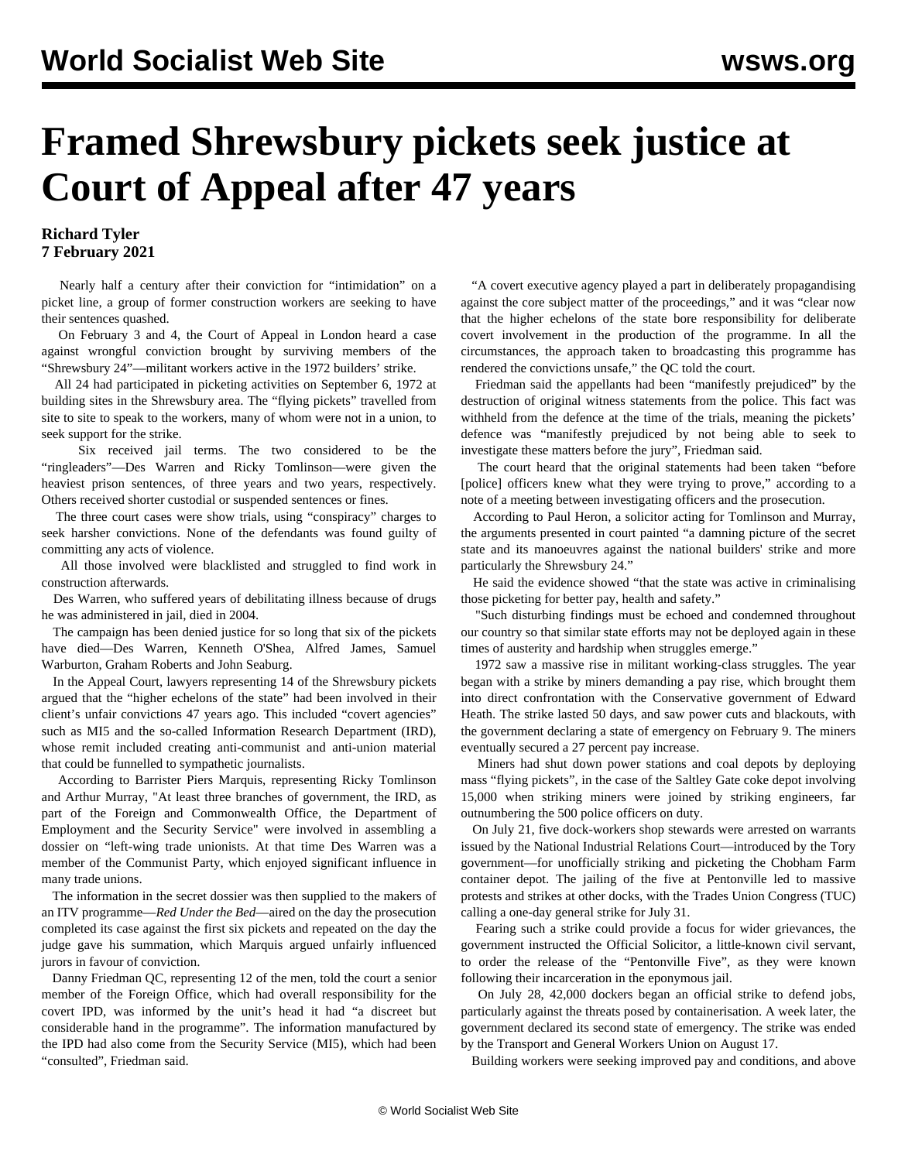## **Framed Shrewsbury pickets seek justice at Court of Appeal after 47 years**

## **Richard Tyler 7 February 2021**

 Nearly half a century after their conviction for "intimidation" on a picket line, a group of former construction workers are seeking to have their sentences quashed.

 On February 3 and 4, the Court of Appeal in London heard a case against wrongful conviction brought by surviving members of the "Shrewsbury 24"—militant workers active in the 1972 builders' strike.

 All 24 had participated in picketing activities on September 6, 1972 at building sites in the Shrewsbury area. The "flying pickets" travelled from site to site to speak to the workers, many of whom were not in a union, to seek support for the strike.

 Six received jail terms. The two considered to be the "ringleaders"[—Des Warren](/en/articles/2004/05/warr-m10.html) and Ricky Tomlinson—were given the heaviest prison sentences, of three years and two years, respectively. Others received shorter custodial or suspended sentences or fines.

 The three court cases were show trials, using "conspiracy" charges to seek harsher convictions. None of the defendants was found guilty of committing any acts of violence.

 All those involved were blacklisted and struggled to find work in construction afterwards.

 Des Warren, who suffered years of debilitating illness because of drugs he was administered in jail, died in 2004.

 The campaign has been denied justice for so long that six of the pickets have died—Des Warren, Kenneth O'Shea, Alfred James, Samuel Warburton, Graham Roberts and John Seaburg.

 In the Appeal Court, lawyers representing 14 of the Shrewsbury pickets argued that the "higher echelons of the state" had been involved in their client's unfair convictions 47 years ago. This included "covert agencies" such as MI5 and the so-called Information Research Department (IRD), whose remit included creating anti-communist and anti-union material that could be funnelled to sympathetic journalists.

 According to Barrister Piers Marquis, representing Ricky Tomlinson and Arthur Murray, "At least three branches of government, the IRD, as part of the Foreign and Commonwealth Office, the Department of Employment and the Security Service" were involved in assembling a dossier on "left-wing trade unionists. At that time Des Warren was a member of the Communist Party, which enjoyed significant influence in many trade unions.

 The information in the secret dossier was then supplied to the makers of an ITV programme—*Red Under the Bed*—aired on the day the prosecution completed its case against the first six pickets and repeated on the day the judge gave his summation, which Marquis argued unfairly influenced jurors in favour of conviction.

 Danny Friedman QC, representing 12 of the men, told the court a senior member of the Foreign Office, which had overall responsibility for the covert IPD, was informed by the unit's head it had "a discreet but considerable hand in the programme". The information manufactured by the IPD had also come from the Security Service (MI5), which had been "consulted", Friedman said.

 "A covert executive agency played a part in deliberately propagandising against the core subject matter of the proceedings," and it was "clear now that the higher echelons of the state bore responsibility for deliberate covert involvement in the production of the programme. In all the circumstances, the approach taken to broadcasting this programme has rendered the convictions unsafe," the QC told the court.

 Friedman said the appellants had been "manifestly prejudiced" by the destruction of original witness statements from the police. This fact was withheld from the defence at the time of the trials, meaning the pickets' defence was "manifestly prejudiced by not being able to seek to investigate these matters before the jury", Friedman said.

 The court heard that the original statements had been taken "before [police] officers knew what they were trying to prove," according to a note of a meeting between investigating officers and the prosecution.

 According to Paul Heron, a solicitor acting for Tomlinson and Murray, the arguments presented in court painted "a damning picture of the secret state and its manoeuvres against the national builders' strike and more particularly the Shrewsbury 24."

 He said the evidence showed "that the state was active in criminalising those picketing for better pay, health and safety."

 "Such disturbing findings must be echoed and condemned throughout our country so that similar state efforts may not be deployed again in these times of austerity and hardship when struggles emerge."

 1972 saw a massive rise in militant working-class struggles. The year began with a strike by miners demanding a pay rise, which brought them into direct confrontation with the Conservative government of Edward Heath. The strike lasted 50 days, and saw power cuts and blackouts, with the government declaring a state of emergency on February 9. The miners eventually secured a 27 percent pay increase.

 Miners had shut down power stations and coal depots by deploying mass "flying pickets", in the case of the Saltley Gate coke depot involving 15,000 when striking miners were joined by striking engineers, far outnumbering the 500 police officers on duty.

 On July 21, five dock-workers shop stewards were arrested on warrants issued by the National Industrial Relations Court—introduced by the Tory government—for unofficially striking and picketing the Chobham Farm container depot. The jailing of the five at Pentonville led to massive protests and strikes at other docks, with the Trades Union Congress (TUC) calling a one-day general strike for July 31.

 Fearing such a strike could provide a focus for wider grievances, the government instructed the Official Solicitor, a little-known civil servant, to order the release of the "Pentonville Five", as they were known following their incarceration in the eponymous jail.

 On July 28, 42,000 dockers began an official strike to defend jobs, particularly against the threats posed by containerisation. A week later, the government declared its second state of emergency. The strike was ended by the Transport and General Workers Union on August 17.

Building workers were seeking improved pay and conditions, and above